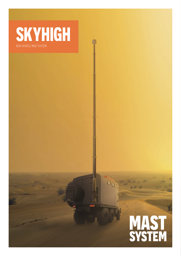**SKYHIGH** new vehicle mast system

MAST<br>SYSTEM

Our